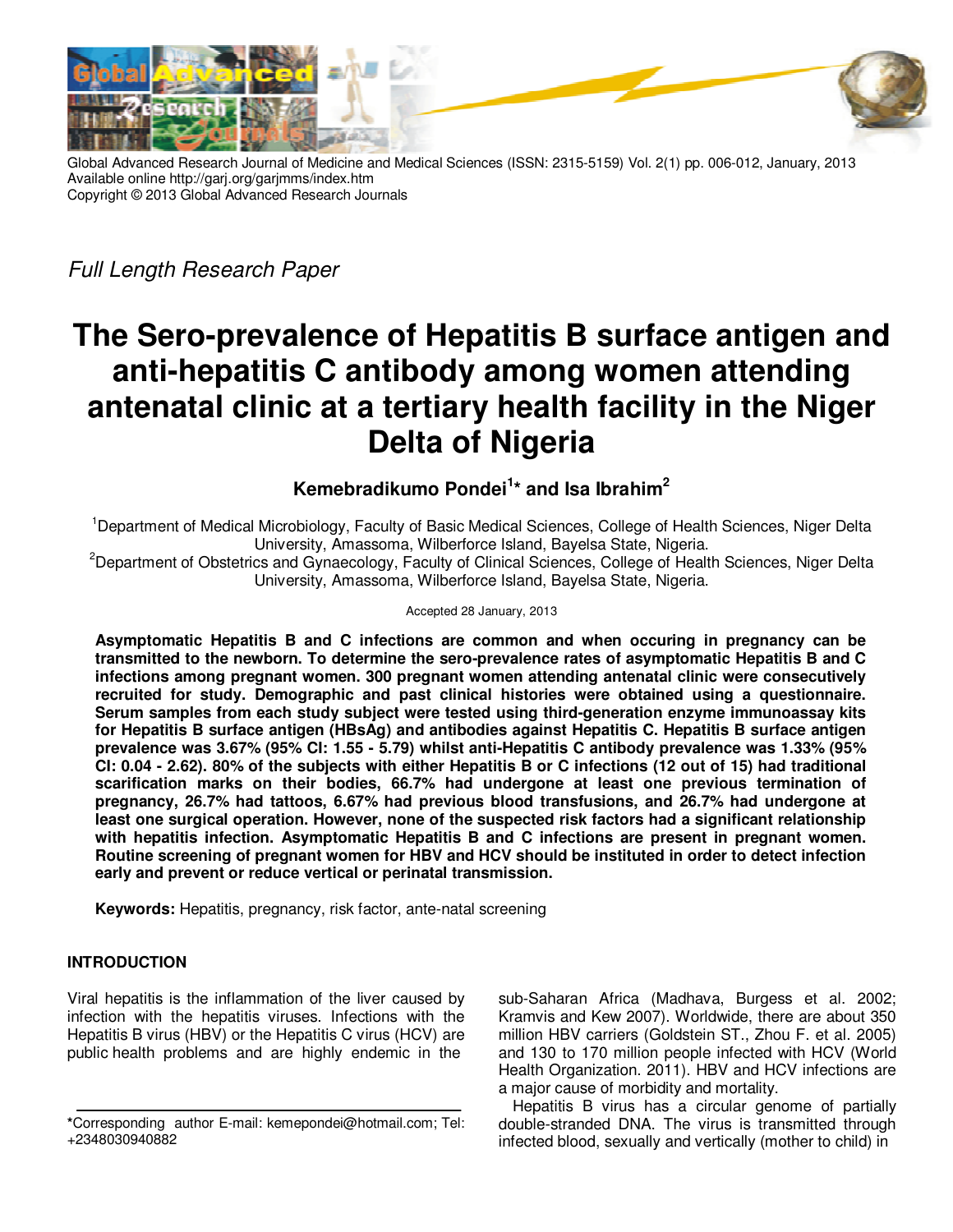

Global Advanced Research Journal of Medicine and Medical Sciences (ISSN: 2315-5159) Vol. 2(1) pp. 006-012, January, 2013 Available online http://garj.org/garjmms/index.htm Copyright © 2013 Global Advanced Research Journals

Full Length Research Paper

# **The Sero-prevalence of Hepatitis B surface antigen and anti-hepatitis C antibody among women attending antenatal clinic at a tertiary health facility in the Niger Delta of Nigeria**

# **Kemebradikumo Pondei<sup>1</sup> \* and Isa Ibrahim<sup>2</sup>**

<sup>1</sup>Department of Medical Microbiology, Faculty of Basic Medical Sciences, College of Health Sciences, Niger Delta University, Amassoma, Wilberforce Island, Bayelsa State, Nigeria.

<sup>2</sup>Department of Obstetrics and Gynaecology, Faculty of Clinical Sciences, College of Health Sciences, Niger Delta University, Amassoma, Wilberforce Island, Bayelsa State, Nigeria.

#### Accepted 28 January, 2013

**Asymptomatic Hepatitis B and C infections are common and when occuring in pregnancy can be transmitted to the newborn. To determine the sero-prevalence rates of asymptomatic Hepatitis B and C infections among pregnant women. 300 pregnant women attending antenatal clinic were consecutively recruited for study. Demographic and past clinical histories were obtained using a questionnaire. Serum samples from each study subject were tested using third-generation enzyme immunoassay kits for Hepatitis B surface antigen (HBsAg) and antibodies against Hepatitis C. Hepatitis B surface antigen prevalence was 3.67% (95% CI: 1.55 - 5.79) whilst anti-Hepatitis C antibody prevalence was 1.33% (95% CI: 0.04 - 2.62). 80% of the subjects with either Hepatitis B or C infections (12 out of 15) had traditional scarification marks on their bodies, 66.7% had undergone at least one previous termination of pregnancy, 26.7% had tattoos, 6.67% had previous blood transfusions, and 26.7% had undergone at least one surgical operation. However, none of the suspected risk factors had a significant relationship with hepatitis infection. Asymptomatic Hepatitis B and C infections are present in pregnant women. Routine screening of pregnant women for HBV and HCV should be instituted in order to detect infection early and prevent or reduce vertical or perinatal transmission.** 

**Keywords:** Hepatitis, pregnancy, risk factor, ante-natal screening

# **INTRODUCTION**

Viral hepatitis is the inflammation of the liver caused by infection with the hepatitis viruses. Infections with the Hepatitis B virus (HBV) or the Hepatitis C virus (HCV) are public health problems and are highly endemic in the

sub-Saharan Africa (Madhava, Burgess et al. 2002; Kramvis and Kew 2007). Worldwide, there are about 350 million HBV carriers (Goldstein ST., Zhou F. et al. 2005) and 130 to 170 million people infected with HCV (World Health Organization. 2011). HBV and HCV infections are a major cause of morbidity and mortality.

Hepatitis B virus has a circular genome of partially double-stranded DNA. The virus is transmitted through infected blood, sexually and vertically (mother to child) in

**<sup>\*</sup>**Corresponding author E-mail: kemepondei@hotmail.com; Tel: +2348030940882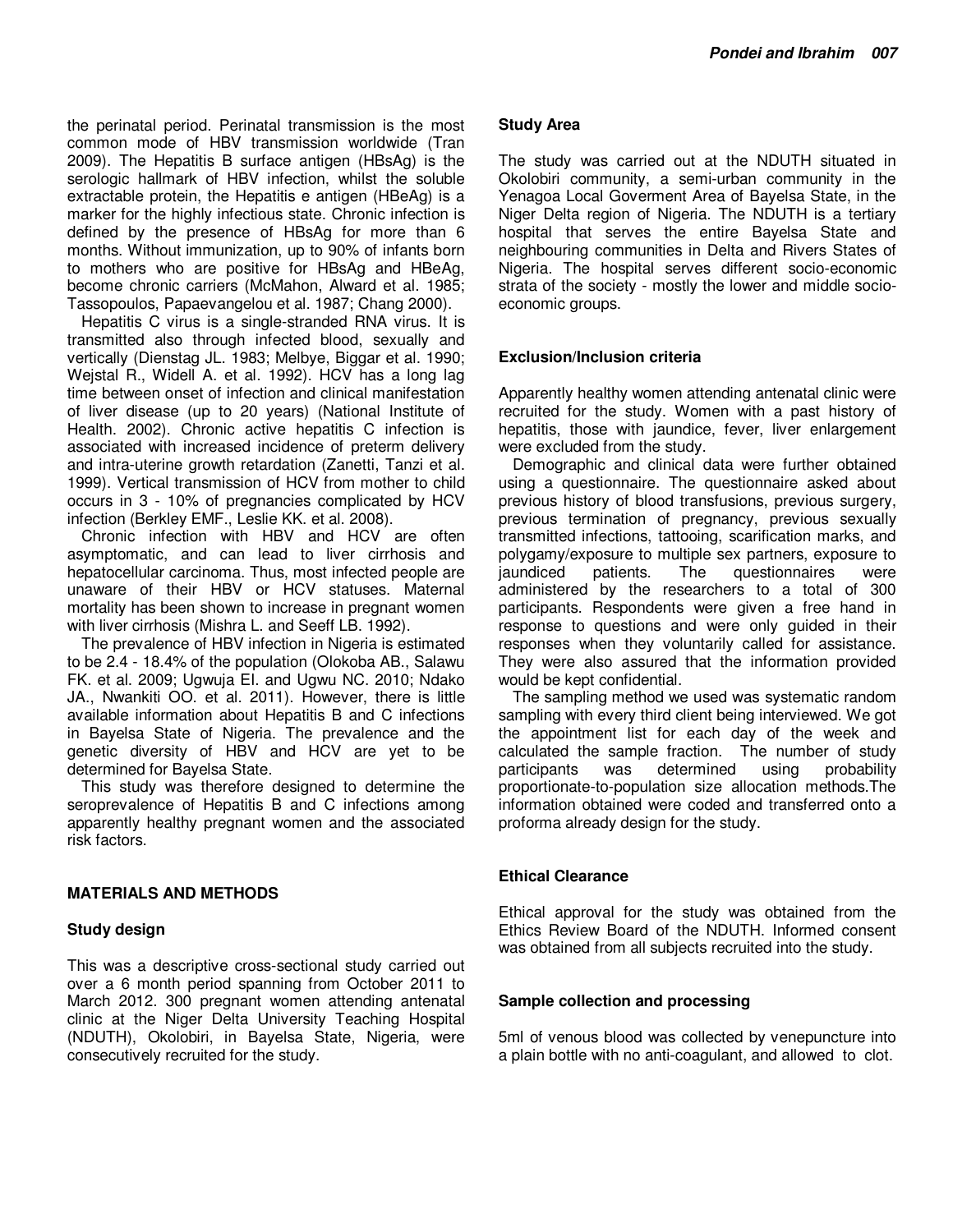the perinatal period. Perinatal transmission is the most common mode of HBV transmission worldwide (Tran 2009). The Hepatitis B surface antigen (HBsAg) is the serologic hallmark of HBV infection, whilst the soluble extractable protein, the Hepatitis e antigen (HBeAg) is a marker for the highly infectious state. Chronic infection is defined by the presence of HBsAg for more than 6 months. Without immunization, up to 90% of infants born to mothers who are positive for HBsAg and HBeAg, become chronic carriers (McMahon, Alward et al. 1985; Tassopoulos, Papaevangelou et al. 1987; Chang 2000).

Hepatitis C virus is a single-stranded RNA virus. It is transmitted also through infected blood, sexually and vertically (Dienstag JL. 1983; Melbye, Biggar et al. 1990; Wejstal R., Widell A. et al. 1992). HCV has a long lag time between onset of infection and clinical manifestation of liver disease (up to 20 years) (National Institute of Health. 2002). Chronic active hepatitis C infection is associated with increased incidence of preterm delivery and intra-uterine growth retardation (Zanetti, Tanzi et al. 1999). Vertical transmission of HCV from mother to child occurs in 3 - 10% of pregnancies complicated by HCV infection (Berkley EMF., Leslie KK. et al. 2008).

Chronic infection with HBV and HCV are often asymptomatic, and can lead to liver cirrhosis and hepatocellular carcinoma. Thus, most infected people are unaware of their HBV or HCV statuses. Maternal mortality has been shown to increase in pregnant women with liver cirrhosis (Mishra L. and Seeff LB. 1992).

The prevalence of HBV infection in Nigeria is estimated to be 2.4 - 18.4% of the population (Olokoba AB., Salawu FK. et al. 2009; Ugwuja EI. and Ugwu NC. 2010; Ndako JA., Nwankiti OO. et al. 2011). However, there is little available information about Hepatitis B and C infections in Bayelsa State of Nigeria. The prevalence and the genetic diversity of HBV and HCV are yet to be determined for Bayelsa State.

This study was therefore designed to determine the seroprevalence of Hepatitis B and C infections among apparently healthy pregnant women and the associated risk factors.

#### **MATERIALS AND METHODS**

#### **Study design**

This was a descriptive cross-sectional study carried out over a 6 month period spanning from October 2011 to March 2012. 300 pregnant women attending antenatal clinic at the Niger Delta University Teaching Hospital (NDUTH), Okolobiri, in Bayelsa State, Nigeria, were consecutively recruited for the study.

### **Study Area**

The study was carried out at the NDUTH situated in Okolobiri community, a semi-urban community in the Yenagoa Local Goverment Area of Bayelsa State, in the Niger Delta region of Nigeria. The NDUTH is a tertiary hospital that serves the entire Bayelsa State and neighbouring communities in Delta and Rivers States of Nigeria. The hospital serves different socio-economic strata of the society - mostly the lower and middle socioeconomic groups.

# **Exclusion/Inclusion criteria**

Apparently healthy women attending antenatal clinic were recruited for the study. Women with a past history of hepatitis, those with jaundice, fever, liver enlargement were excluded from the study.

Demographic and clinical data were further obtained using a questionnaire. The questionnaire asked about previous history of blood transfusions, previous surgery, previous termination of pregnancy, previous sexually transmitted infections, tattooing, scarification marks, and polygamy/exposure to multiple sex partners, exposure to jaundiced patients. The questionnaires were questionnaires were administered by the researchers to a total of 300 participants. Respondents were given a free hand in response to questions and were only guided in their responses when they voluntarily called for assistance. They were also assured that the information provided would be kept confidential.

The sampling method we used was systematic random sampling with every third client being interviewed. We got the appointment list for each day of the week and calculated the sample fraction. The number of study participants was determined using probability proportionate-to-population size allocation methods.The information obtained were coded and transferred onto a proforma already design for the study.

#### **Ethical Clearance**

Ethical approval for the study was obtained from the Ethics Review Board of the NDUTH. Informed consent was obtained from all subjects recruited into the study.

#### **Sample collection and processing**

5ml of venous blood was collected by venepuncture into a plain bottle with no anti-coagulant, and allowed to clot.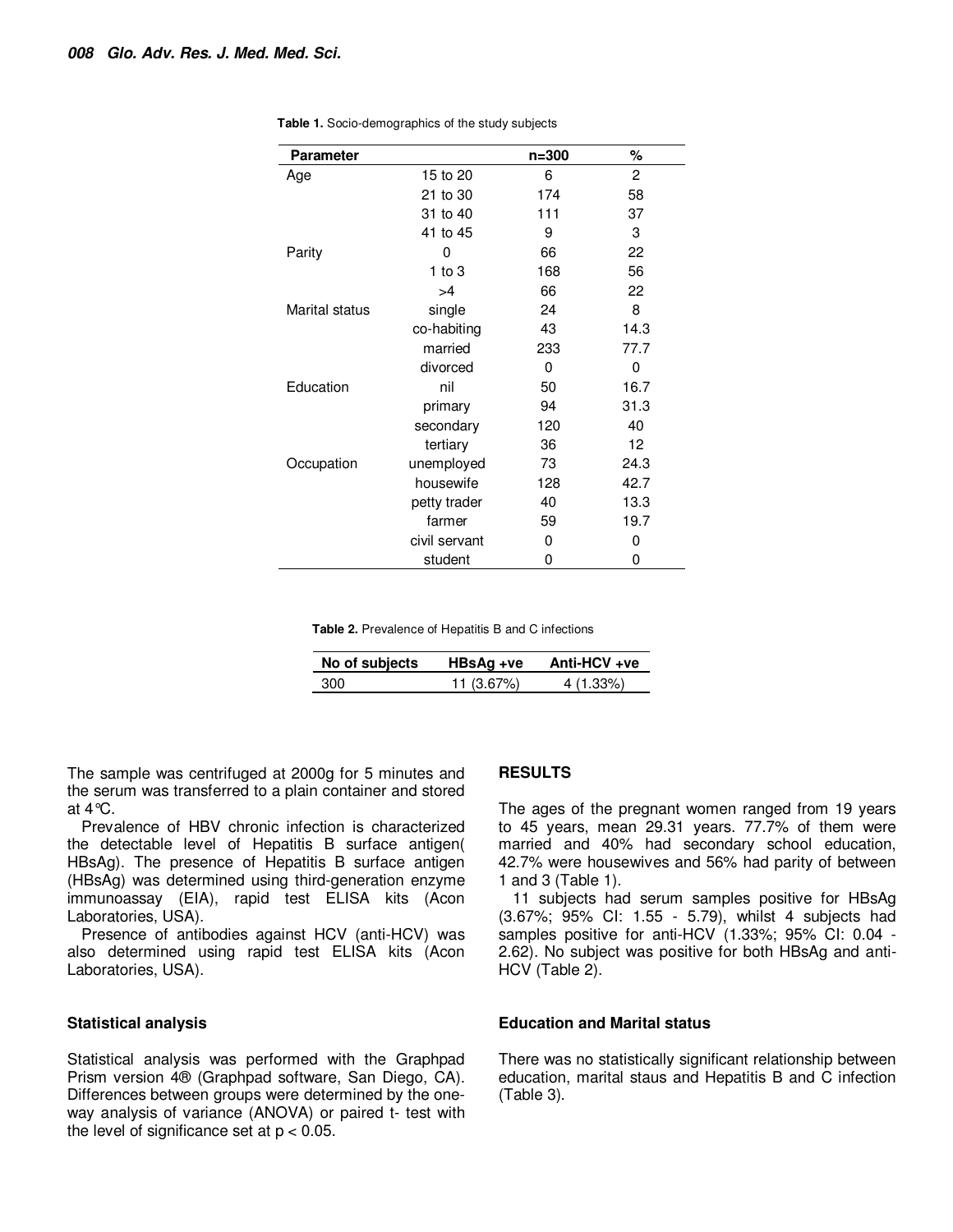| <b>Parameter</b> |               | $n = 300$ | ℅              |
|------------------|---------------|-----------|----------------|
| Age              | 15 to 20      | 6         | $\overline{c}$ |
|                  | 21 to 30      | 174       | 58             |
|                  | 31 to 40      | 111       | 37             |
|                  | 41 to 45      | 9         | 3              |
| Parity           | 0             | 66        | 22             |
|                  | 1 to $3$      | 168       | 56             |
|                  | >4            | 66        | 22             |
| Marital status   | single        | 24        | 8              |
|                  | co-habiting   | 43        | 14.3           |
|                  | married       | 233       | 77.7           |
|                  | divorced      | 0         | 0              |
| Education        | nil           | 50        | 16.7           |
|                  | primary       | 94        | 31.3           |
|                  | secondary     | 120       | 40             |
|                  | tertiary      | 36        | 12             |
| Occupation       | unemployed    | 73        | 24.3           |
|                  | housewife     | 128       | 42.7           |
|                  | petty trader  | 40        | 13.3           |
|                  | farmer        | 59        | 19.7           |
|                  | civil servant | 0         | 0              |
|                  | student       | 0         | 0              |

**Table 1.** Socio-demographics of the study subjects

**Table 2.** Prevalence of Hepatitis B and C infections

| No of subjects | HBsAg +ve  | Anti-HCV +ve |
|----------------|------------|--------------|
| 300            | 11 (3.67%) | 4 (1.33%)    |

The sample was centrifuged at 2000g for 5 minutes and the serum was transferred to a plain container and stored at  $4^{\circ}C$ .

Prevalence of HBV chronic infection is characterized the detectable level of Hepatitis B surface antigen( HBsAg). The presence of Hepatitis B surface antigen (HBsAg) was determined using third-generation enzyme immunoassay (EIA), rapid test ELISA kits (Acon Laboratories, USA).

Presence of antibodies against HCV (anti-HCV) was also determined using rapid test ELISA kits (Acon Laboratories, USA).

#### **Statistical analysis**

Statistical analysis was performed with the Graphpad Prism version 4® (Graphpad software, San Diego, CA). Differences between groups were determined by the oneway analysis of variance (ANOVA) or paired t- test with the level of significance set at  $p < 0.05$ .

#### **RESULTS**

The ages of the pregnant women ranged from 19 years to 45 years, mean 29.31 years. 77.7% of them were married and 40% had secondary school education, 42.7% were housewives and 56% had parity of between 1 and 3 (Table 1).

11 subjects had serum samples positive for HBsAg (3.67%; 95% CI: 1.55 - 5.79), whilst 4 subjects had samples positive for anti-HCV (1.33%; 95% CI: 0.04 - 2.62). No subject was positive for both HBsAg and anti-HCV (Table 2).

#### **Education and Marital status**

There was no statistically significant relationship between education, marital staus and Hepatitis B and C infection (Table 3).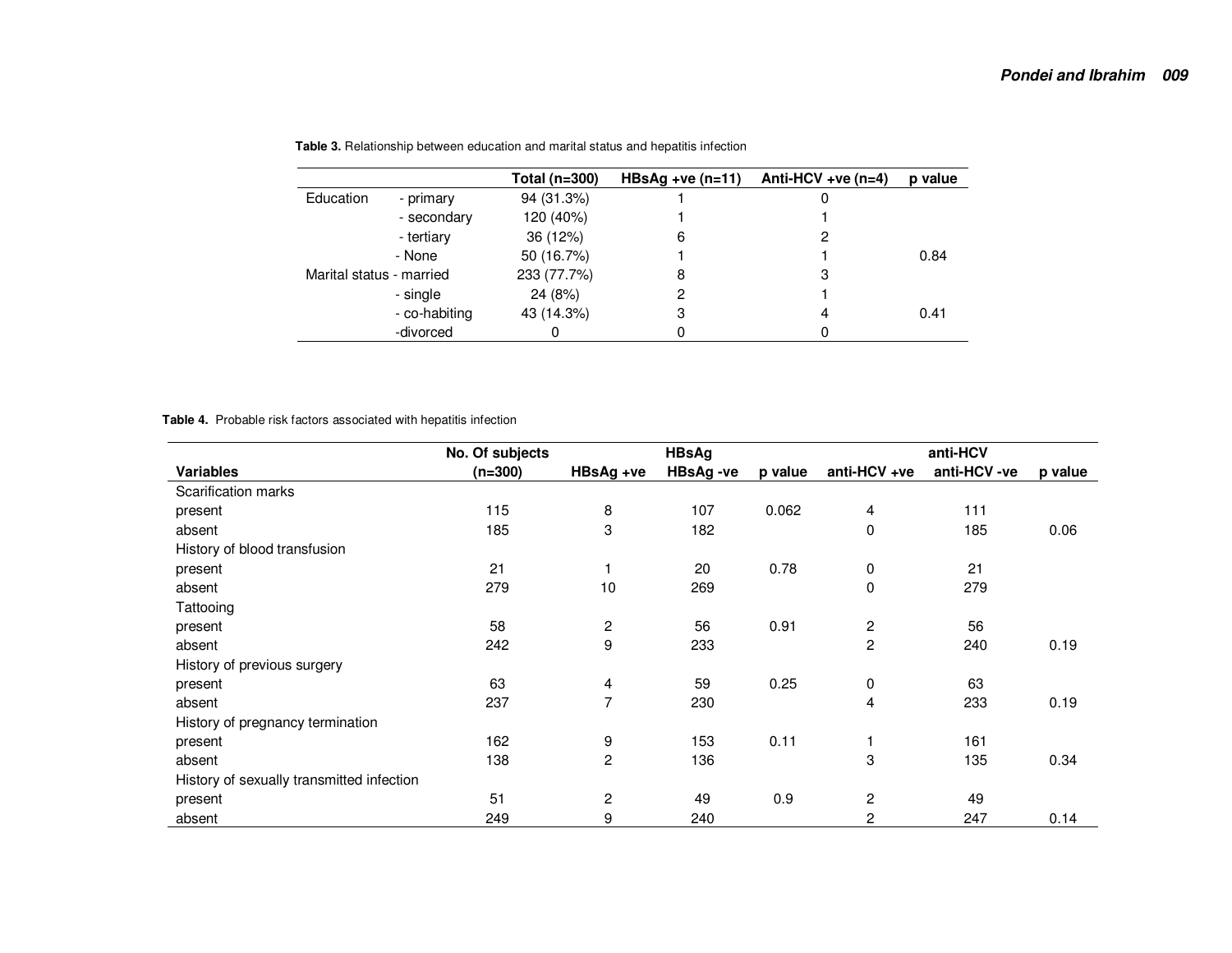|                          |               | Total ( $n=300$ ) | $HBSAg +ve (n=11)$ | Anti-HCV +ve $(n=4)$ | p value |
|--------------------------|---------------|-------------------|--------------------|----------------------|---------|
| Education                | - primary     | 94 (31.3%)        |                    |                      |         |
|                          | - secondary   | 120 (40%)         |                    |                      |         |
|                          | - tertiary    | 36 (12%)          | 6                  |                      |         |
|                          | - None        | 50 (16.7%)        |                    |                      | 0.84    |
| Marital status - married |               | 233 (77.7%)       | 8                  | 3                    |         |
|                          | - single      | 24 (8%)           |                    |                      |         |
|                          | - co-habiting | 43 (14.3%)        | З                  | 4                    | 0.41    |
|                          | -divorced     |                   |                    |                      |         |

**Table 3.** Relationship between education and marital status and hepatitis infection

**Table 4.** Probable risk factors associated with hepatitis infection

|                                           | No. Of subjects |                | <b>HBsAg</b>    |         | anti-HCV                |             |         |
|-------------------------------------------|-----------------|----------------|-----------------|---------|-------------------------|-------------|---------|
| <b>Variables</b>                          | $(n=300)$       | HBsAg +ve      | <b>HBsAg-ve</b> | p value | anti-HCV +ve            | anti-HCV-ve | p value |
| Scarification marks                       |                 |                |                 |         |                         |             |         |
| present                                   | 115             | 8              | 107             | 0.062   | 4                       | 111         |         |
| absent                                    | 185             | 3              | 182             |         | 0                       | 185         | 0.06    |
| History of blood transfusion              |                 |                |                 |         |                         |             |         |
| present                                   | 21              |                | 20              | 0.78    | 0                       | 21          |         |
| absent                                    | 279             | 10             | 269             |         | 0                       | 279         |         |
| Tattooing                                 |                 |                |                 |         |                         |             |         |
| present                                   | 58              | 2              | 56              | 0.91    | $\overline{\mathbf{c}}$ | 56          |         |
| absent                                    | 242             | 9              | 233             |         | $\overline{c}$          | 240         | 0.19    |
| History of previous surgery               |                 |                |                 |         |                         |             |         |
| present                                   | 63              | 4              | 59              | 0.25    | 0                       | 63          |         |
| absent                                    | 237             | 7              | 230             |         | 4                       | 233         | 0.19    |
| History of pregnancy termination          |                 |                |                 |         |                         |             |         |
| present                                   | 162             | 9              | 153             | 0.11    |                         | 161         |         |
| absent                                    | 138             | $\overline{c}$ | 136             |         | 3                       | 135         | 0.34    |
| History of sexually transmitted infection |                 |                |                 |         |                         |             |         |
| present                                   | 51              | 2              | 49              | 0.9     | $\overline{c}$          | 49          |         |
| absent                                    | 249             | 9              | 240             |         | $\overline{c}$          | 247         | 0.14    |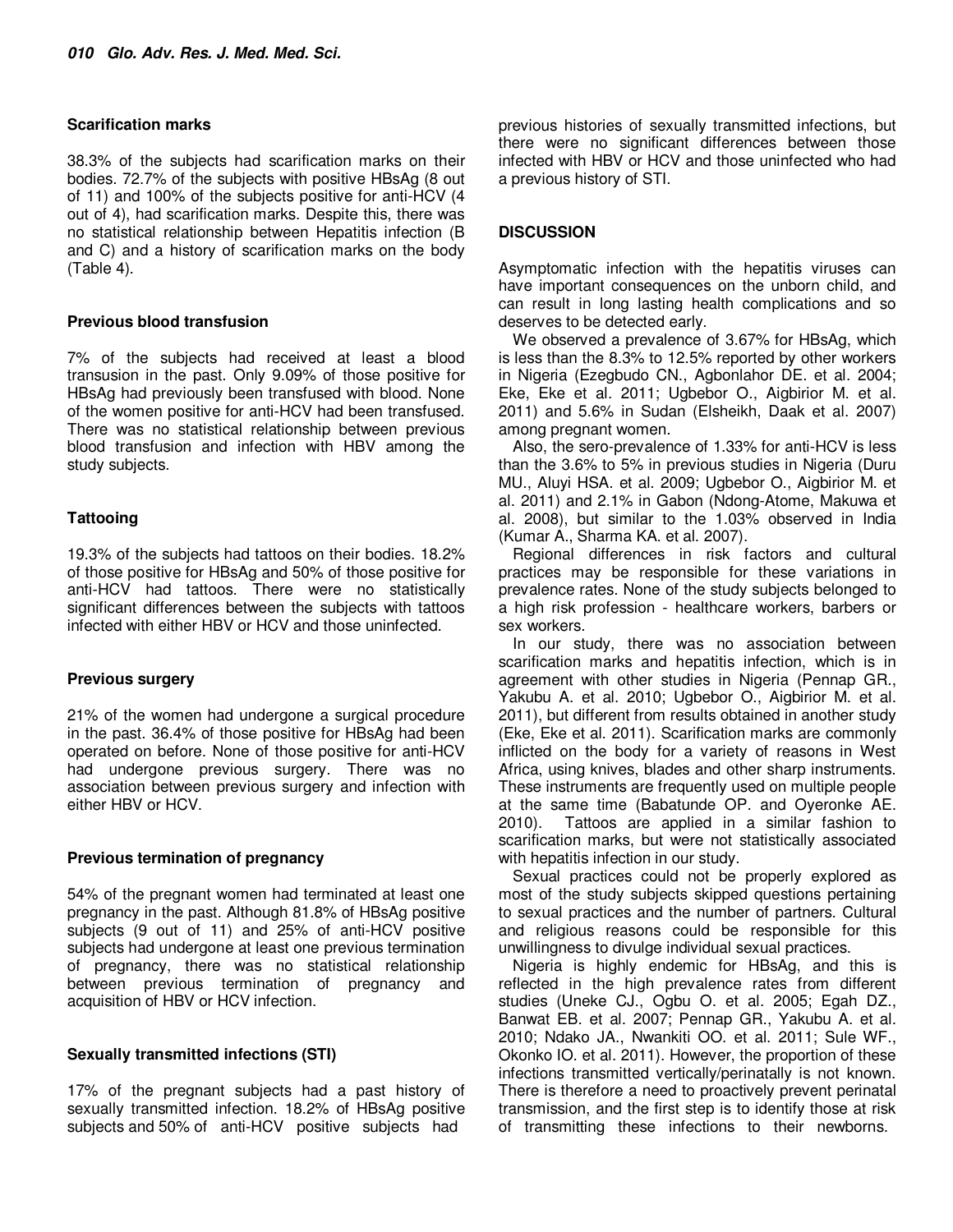### **Scarification marks**

38.3% of the subjects had scarification marks on their bodies. 72.7% of the subjects with positive HBsAg (8 out of 11) and 100% of the subjects positive for anti-HCV (4 out of 4), had scarification marks. Despite this, there was no statistical relationship between Hepatitis infection (B and C) and a history of scarification marks on the body (Table 4).

# **Previous blood transfusion**

7% of the subjects had received at least a blood transusion in the past. Only 9.09% of those positive for HBsAg had previously been transfused with blood. None of the women positive for anti-HCV had been transfused. There was no statistical relationship between previous blood transfusion and infection with HBV among the study subjects.

# **Tattooing**

19.3% of the subjects had tattoos on their bodies. 18.2% of those positive for HBsAg and 50% of those positive for anti-HCV had tattoos. There were no statistically significant differences between the subjects with tattoos infected with either HBV or HCV and those uninfected.

# **Previous surgery**

21% of the women had undergone a surgical procedure in the past. 36.4% of those positive for HBsAg had been operated on before. None of those positive for anti-HCV had undergone previous surgery. There was no association between previous surgery and infection with either HBV or HCV.

# **Previous termination of pregnancy**

54% of the pregnant women had terminated at least one pregnancy in the past. Although 81.8% of HBsAg positive subjects (9 out of 11) and 25% of anti-HCV positive subjects had undergone at least one previous termination of pregnancy, there was no statistical relationship between previous termination of pregnancy and acquisition of HBV or HCV infection.

# **Sexually transmitted infections (STI)**

17% of the pregnant subjects had a past history of sexually transmitted infection. 18.2% of HBsAg positive subjects and 50% of anti-HCV positive subjects had

previous histories of sexually transmitted infections, but there were no significant differences between those infected with HBV or HCV and those uninfected who had a previous history of STI.

# **DISCUSSION**

Asymptomatic infection with the hepatitis viruses can have important consequences on the unborn child, and can result in long lasting health complications and so deserves to be detected early.

We observed a prevalence of 3.67% for HBsAg, which is less than the 8.3% to 12.5% reported by other workers in Nigeria (Ezegbudo CN., Agbonlahor DE. et al. 2004; Eke, Eke et al. 2011; Ugbebor O., Aigbirior M. et al. 2011) and 5.6% in Sudan (Elsheikh, Daak et al. 2007) among pregnant women.

Also, the sero-prevalence of 1.33% for anti-HCV is less than the 3.6% to 5% in previous studies in Nigeria (Duru MU., Aluyi HSA. et al. 2009; Ugbebor O., Aigbirior M. et al. 2011) and 2.1% in Gabon (Ndong-Atome, Makuwa et al. 2008), but similar to the 1.03% observed in India (Kumar A., Sharma KA. et al. 2007).

Regional differences in risk factors and cultural practices may be responsible for these variations in prevalence rates. None of the study subjects belonged to a high risk profession - healthcare workers, barbers or sex workers.

In our study, there was no association between scarification marks and hepatitis infection, which is in agreement with other studies in Nigeria (Pennap GR., Yakubu A. et al. 2010; Ugbebor O., Aigbirior M. et al. 2011), but different from results obtained in another study (Eke, Eke et al. 2011). Scarification marks are commonly inflicted on the body for a variety of reasons in West Africa, using knives, blades and other sharp instruments. These instruments are frequently used on multiple people at the same time (Babatunde OP. and Oyeronke AE. 2010). Tattoos are applied in a similar fashion to scarification marks, but were not statistically associated with hepatitis infection in our study.

Sexual practices could not be properly explored as most of the study subjects skipped questions pertaining to sexual practices and the number of partners. Cultural and religious reasons could be responsible for this unwillingness to divulge individual sexual practices.

Nigeria is highly endemic for HBsAg, and this is reflected in the high prevalence rates from different studies (Uneke CJ., Ogbu O. et al. 2005; Egah DZ., Banwat EB. et al. 2007; Pennap GR., Yakubu A. et al. 2010; Ndako JA., Nwankiti OO. et al. 2011; Sule WF., Okonko IO. et al. 2011). However, the proportion of these infections transmitted vertically/perinatally is not known. There is therefore a need to proactively prevent perinatal transmission, and the first step is to identify those at risk of transmitting these infections to their newborns.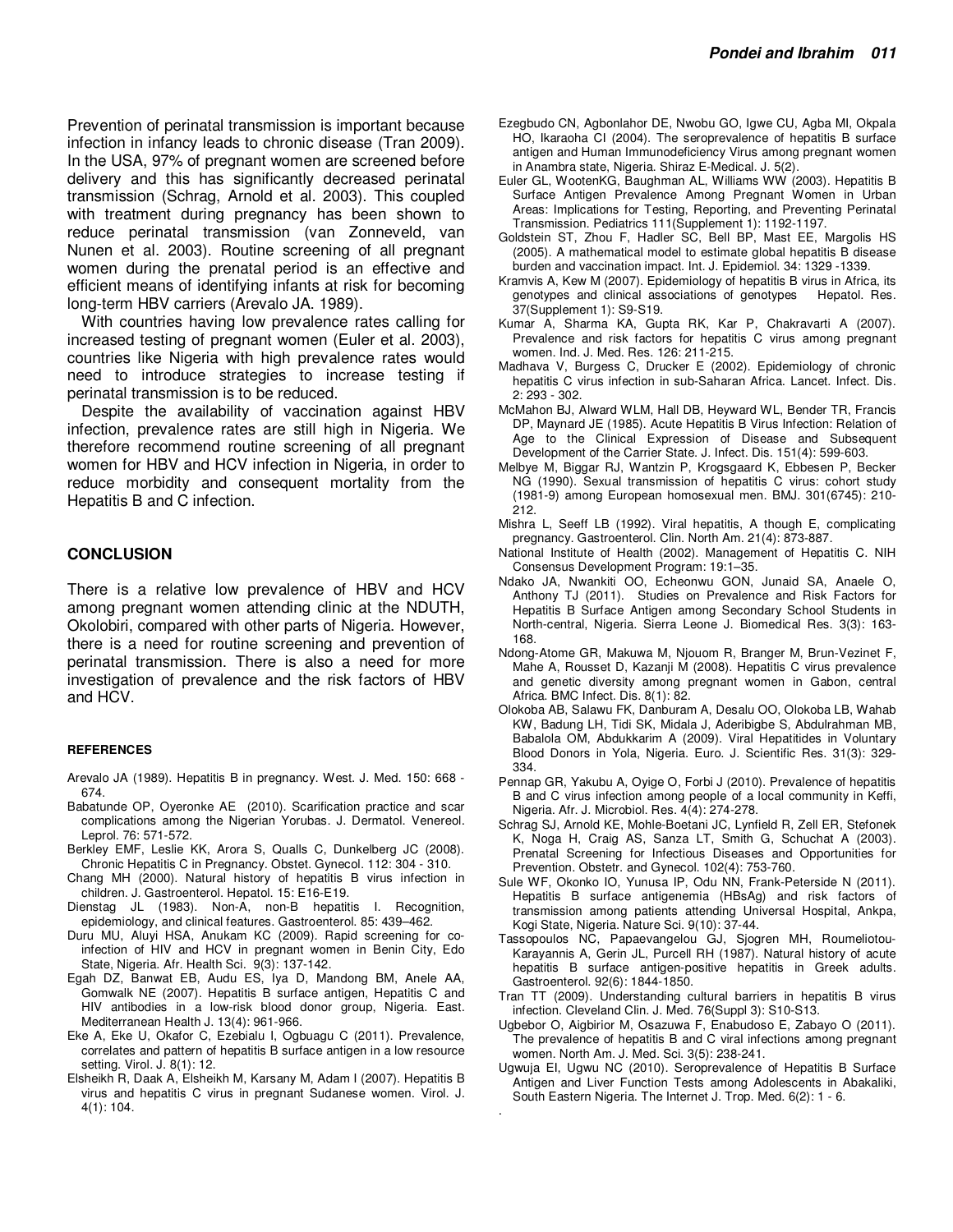Prevention of perinatal transmission is important because infection in infancy leads to chronic disease (Tran 2009). In the USA, 97% of pregnant women are screened before delivery and this has significantly decreased perinatal transmission (Schrag, Arnold et al. 2003). This coupled with treatment during pregnancy has been shown to reduce perinatal transmission (van Zonneveld, van Nunen et al. 2003). Routine screening of all pregnant women during the prenatal period is an effective and efficient means of identifying infants at risk for becoming long-term HBV carriers (Arevalo JA. 1989).

With countries having low prevalence rates calling for increased testing of pregnant women (Euler et al. 2003), countries like Nigeria with high prevalence rates would need to introduce strategies to increase testing if perinatal transmission is to be reduced.

Despite the availability of vaccination against HBV infection, prevalence rates are still high in Nigeria. We therefore recommend routine screening of all pregnant women for HBV and HCV infection in Nigeria, in order to reduce morbidity and consequent mortality from the Hepatitis B and C infection.

#### **CONCLUSION**

There is a relative low prevalence of HBV and HCV among pregnant women attending clinic at the NDUTH, Okolobiri, compared with other parts of Nigeria. However, there is a need for routine screening and prevention of perinatal transmission. There is also a need for more investigation of prevalence and the risk factors of HBV and HCV.

#### **REFERENCES**

- Arevalo JA (1989). Hepatitis B in pregnancy. West. J. Med. 150: 668 674.
- Babatunde OP, Oyeronke AE (2010). Scarification practice and scar complications among the Nigerian Yorubas. J. Dermatol. Venereol. Leprol. 76: 571-572.
- Berkley EMF, Leslie KK, Arora S, Qualls C, Dunkelberg JC (2008). Chronic Hepatitis C in Pregnancy. Obstet. Gynecol. 112: 304 - 310.
- Chang MH (2000). Natural history of hepatitis B virus infection in children. J. Gastroenterol. Hepatol. 15: E16-E19.
- Dienstag JL (1983). Non-A, non-B hepatitis I. Recognition, epidemiology, and clinical features. Gastroenterol. 85: 439–462.
- Duru MU, Aluyi HSA, Anukam KC (2009). Rapid screening for coinfection of HIV and HCV in pregnant women in Benin City, Edo State, Nigeria. Afr. Health Sci. 9(3): 137-142.
- Egah DZ, Banwat EB, Audu ES, Iya D, Mandong BM, Anele AA, Gomwalk NE (2007). Hepatitis B surface antigen, Hepatitis C and HIV antibodies in a low-risk blood donor group, Nigeria. East. Mediterranean Health J. 13(4): 961-966.
- Eke A, Eke U, Okafor C, Ezebialu I, Ogbuagu C (2011). Prevalence, correlates and pattern of hepatitis B surface antigen in a low resource setting. Virol. J. 8(1): 12.
- Elsheikh R, Daak A, Elsheikh M, Karsany M, Adam I (2007). Hepatitis B virus and hepatitis C virus in pregnant Sudanese women. Virol. J. 4(1): 104.
- Ezegbudo CN, Agbonlahor DE, Nwobu GO, Igwe CU, Agba MI, Okpala HO, Ikaraoha CI (2004). The seroprevalence of hepatitis B surface antigen and Human Immunodeficiency Virus among pregnant women in Anambra state, Nigeria. Shiraz E-Medical. J. 5(2).
- Euler GL, WootenKG, Baughman AL, Williams WW (2003). Hepatitis B Surface Antigen Prevalence Among Pregnant Women in Urban Areas: Implications for Testing, Reporting, and Preventing Perinatal Transmission. Pediatrics 111(Supplement 1): 1192-1197.
- Goldstein ST, Zhou F, Hadler SC, Bell BP, Mast EE, Margolis HS (2005). A mathematical model to estimate global hepatitis B disease burden and vaccination impact. Int. J. Epidemiol. 34: 1329 -1339.
- Kramvis A, Kew M (2007). Epidemiology of hepatitis B virus in Africa, its genotypes and clinical associations of genotypes Hepatol. Res. 37(Supplement 1): S9-S19.
- Kumar A, Sharma KA, Gupta RK, Kar P, Chakravarti A (2007). Prevalence and risk factors for hepatitis C virus among pregnant women. Ind. J. Med. Res. 126: 211-215.
- Madhava V, Burgess C, Drucker E (2002). Epidemiology of chronic hepatitis C virus infection in sub-Saharan Africa. Lancet. Infect. Dis. 2: 293 - 302.
- McMahon BJ, Alward WLM, Hall DB, Heyward WL, Bender TR, Francis DP, Maynard JE (1985). Acute Hepatitis B Virus Infection: Relation of Age to the Clinical Expression of Disease and Subsequent Development of the Carrier State. J. Infect. Dis. 151(4): 599-603.
- Melbye M, Biggar RJ, Wantzin P, Krogsgaard K, Ebbesen P, Becker NG (1990). Sexual transmission of hepatitis C virus: cohort study (1981-9) among European homosexual men. BMJ. 301(6745): 210- 212.
- Mishra L, Seeff LB (1992). Viral hepatitis, A though E, complicating pregnancy. Gastroenterol. Clin. North Am. 21(4): 873-887.
- National Institute of Health (2002). Management of Hepatitis C. NIH Consensus Development Program: 19:1–35.
- Ndako JA, Nwankiti OO, Echeonwu GON, Junaid SA, Anaele O, Anthony TJ (2011). Studies on Prevalence and Risk Factors for Hepatitis B Surface Antigen among Secondary School Students in North-central, Nigeria. Sierra Leone J. Biomedical Res. 3(3): 163- 168.
- Ndong-Atome GR, Makuwa M, Njouom R, Branger M, Brun-Vezinet F, Mahe A, Rousset D, Kazanji M (2008). Hepatitis C virus prevalence and genetic diversity among pregnant women in Gabon, central Africa. BMC Infect. Dis. 8(1): 82.
- Olokoba AB, Salawu FK, Danburam A, Desalu OO, Olokoba LB, Wahab KW, Badung LH, Tidi SK, Midala J, Aderibigbe S, Abdulrahman MB, Babalola OM, Abdukkarim A (2009). Viral Hepatitides in Voluntary Blood Donors in Yola, Nigeria. Euro. J. Scientific Res. 31(3): 329- 334.
- Pennap GR, Yakubu A, Oyige O, Forbi J (2010). Prevalence of hepatitis B and C virus infection among people of a local community in Keffi, Nigeria. Afr. J. Microbiol. Res. 4(4): 274-278.
- Schrag SJ, Arnold KE, Mohle-Boetani JC, Lynfield R, Zell ER, Stefonek K, Noga H, Craig AS, Sanza LT, Smith G, Schuchat A (2003). Prenatal Screening for Infectious Diseases and Opportunities for Prevention. Obstetr. and Gynecol. 102(4): 753-760.
- Sule WF, Okonko IO, Yunusa IP, Odu NN, Frank-Peterside N (2011). Hepatitis B surface antigenemia (HBsAg) and risk factors of transmission among patients attending Universal Hospital, Ankpa, Kogi State, Nigeria. Nature Sci. 9(10): 37-44.
- Tassopoulos NC, Papaevangelou GJ, Sjogren MH, Roumeliotou-Karayannis A, Gerin JL, Purcell RH (1987). Natural history of acute hepatitis B surface antigen-positive hepatitis in Greek adults. Gastroenterol. 92(6): 1844-1850.
- Tran TT (2009). Understanding cultural barriers in hepatitis B virus infection. Cleveland Clin. J. Med. 76(Suppl 3): S10-S13.
- Ugbebor O, Aigbirior M, Osazuwa F, Enabudoso E, Zabayo O (2011). The prevalence of hepatitis B and C viral infections among pregnant women. North Am. J. Med. Sci. 3(5): 238-241.
- Ugwuja EI, Ugwu NC (2010). Seroprevalence of Hepatitis B Surface Antigen and Liver Function Tests among Adolescents in Abakaliki, South Eastern Nigeria. The Internet J. Trop. Med. 6(2): 1 - 6.

.